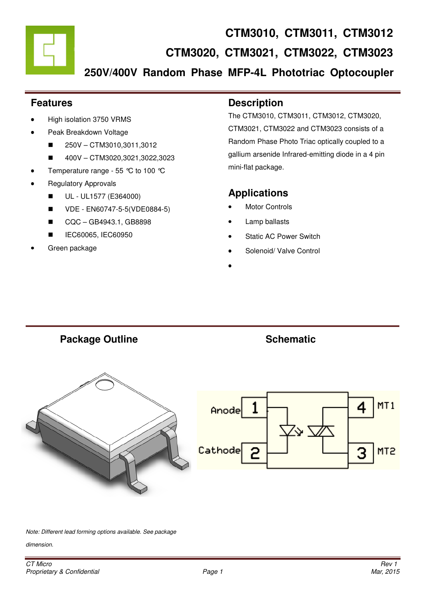#### **Features**

- High isolation 3750 VRMS
- Peak Breakdown Voltage
	- $\blacksquare$  250V CTM3010,3011,3012
	- 400V CTM3020,3021,3022,3023
- Temperature range 55 °C to 100 °C
- Regulatory Approvals
	- UL UL1577 (E364000)
	- VDE EN60747-5-5(VDE0884-5)
	- CQC GB4943.1, GB8898
	- IEC60065, IEC60950
- Green package

## **Description**

The CTM3010, CTM3011, CTM3012, CTM3020, CTM3021, CTM3022 and CTM3023 consists of a Random Phase Photo Triac optically coupled to a gallium arsenide Infrared-emitting diode in a 4 pin mini-flat package.

## **Applications**

- **Motor Controls**
- Lamp ballasts
- Static AC Power Switch
- Solenoid/ Valve Control
- •

# **Package Outline Schematic Schematic Schematic Schematic Schematic Schematic Schematic Schematic Schematic Schematic Schematic Schematic Schematic Schematic Schematic Schematic Schematic Schematic Schematic Schematic Schem** MT<sub>1</sub> 4 Anodel へ<br>7 Cathode 3 MT<sub>2</sub>

Note: Different lead forming options available. See package

dimension.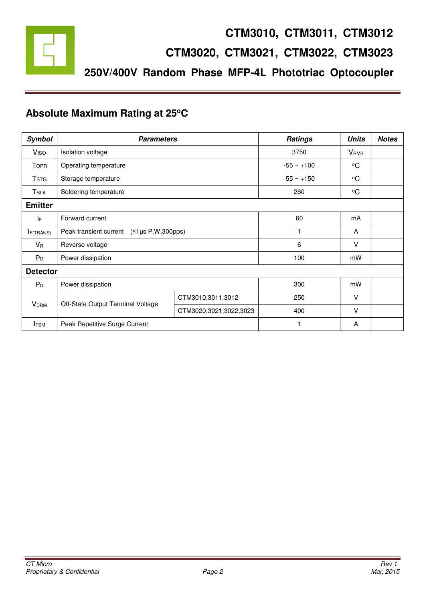

## **Absolute Maximum Rating at 25<sup>o</sup>C**

| <b>Symbol</b>           | <b>Parameters</b>                                      | <b>Ratings</b>         | <b>Units</b> | <b>Notes</b>              |  |  |
|-------------------------|--------------------------------------------------------|------------------------|--------------|---------------------------|--|--|
| Viso                    | Isolation voltage                                      |                        | 3750         | <b>V</b> <sub>RMS</sub>   |  |  |
| <b>TOPR</b>             | Operating temperature                                  |                        | $-55 - +100$ | $\rm ^{o}C$               |  |  |
| Tstg                    | Storage temperature                                    |                        | $-55 - 150$  | $\rm ^{o}C$               |  |  |
| Tsol                    | Soldering temperature                                  |                        | 260          | $^{\mathrm{o}}\mathrm{C}$ |  |  |
| <b>Emitter</b>          |                                                        |                        |              |                           |  |  |
| IF.                     | Forward current                                        | 60                     | mA           |                           |  |  |
| <b>I</b> F(TRANS)       | Peak transient current $(51 \mu s \text{ P.W.300pps})$ | 1                      | A            |                           |  |  |
| $V_{\mathsf{R}}$        | Reverse voltage                                        | 6                      | $\vee$       |                           |  |  |
| $P_D$                   | Power dissipation                                      | 100                    | mW           |                           |  |  |
| <b>Detector</b>         |                                                        |                        |              |                           |  |  |
| $P_D$                   | Power dissipation                                      | 300                    | mW           |                           |  |  |
|                         |                                                        | CTM3010,3011,3012      | 250          | $\vee$                    |  |  |
| <b>V</b> <sub>DRM</sub> | Off-State Output Terminal Voltage                      | CTM3020,3021,3022,3023 | 400          | $\vee$                    |  |  |
| <b>I</b> TSM            | Peak Repetitive Surge Current                          | 1                      | Α            |                           |  |  |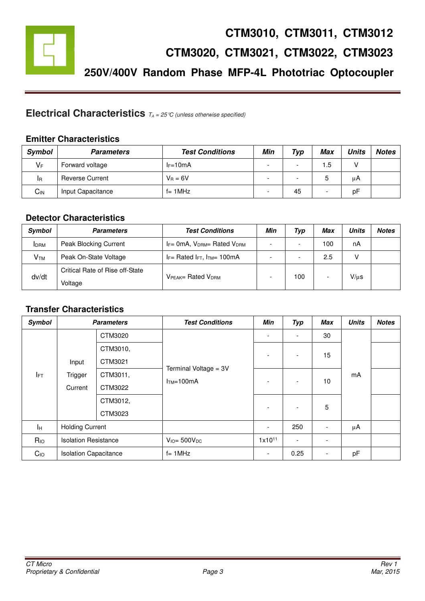

#### **Electrical Characteristics**  $T_A = 25 \text{°C}$  (unless otherwise specified)

#### **Emitter Characteristics**

| <b>Symbol</b> | <b>Parameters</b>      | <b>Test Conditions</b> | Min | Typ                      | Max | Units | <b>Notes</b> |
|---------------|------------------------|------------------------|-----|--------------------------|-----|-------|--------------|
| $V_F$         | Forward voltage        | $I = 10mA$             | -   | $\overline{\phantom{a}}$ | 1.5 |       |              |
| <b>I</b> R    | <b>Reverse Current</b> | $V_B = 6V$             | -   | $\overline{\phantom{0}}$ | ა   | μA    |              |
| $C_{IN}$      | Input Capacitance      | $f = 1MHz$             |     | 45                       | -   | рF    |              |

#### **Detector Characteristics**

| Symbol          | <b>Parameters</b>               | <b>Test Conditions</b>                    | Min | Typ | Max                      | Units     | <b>Notes</b> |
|-----------------|---------------------------------|-------------------------------------------|-----|-----|--------------------------|-----------|--------------|
| <b>IDRM</b>     | Peak Blocking Current           | $I_F = 0mA$ , $V_{DRM} = Rated$ $V_{DRM}$ |     |     | 100                      | nA        |              |
| V <sub>TM</sub> | Peak On-State Voltage           | $I_F$ Rated $I_{FT}$ , $I_{TM}$ 100mA     |     |     | 2.5                      |           |              |
| dv/dt           | Critical Rate of Rise off-State | <b>VPEAK= Rated VDRM</b>                  |     | 100 |                          |           |              |
|                 | Voltage                         |                                           |     |     | $\overline{\phantom{a}}$ | $V/\mu s$ |              |

#### **Transfer Characteristics**

| <b>Symbol</b>   | <b>Parameters</b>            |          | <b>Test Conditions</b>               | Min                      | <b>Typ</b>               | <b>Max</b>               | <b>Units</b> | <b>Notes</b> |
|-----------------|------------------------------|----------|--------------------------------------|--------------------------|--------------------------|--------------------------|--------------|--------------|
| IFT             | Input<br>Trigger<br>Current  | CTM3020  | Terminal Voltage = 3V<br>$ITM=100mA$ | $\overline{\phantom{a}}$ | $\overline{\phantom{a}}$ | 30                       | mA           |              |
|                 |                              | CTM3010, |                                      | $\overline{\phantom{a}}$ | $\overline{\phantom{a}}$ | 15                       |              |              |
|                 |                              | CTM3021  |                                      |                          |                          |                          |              |              |
|                 |                              | CTM3011, |                                      | $\overline{\phantom{a}}$ | $\overline{\phantom{a}}$ | 10                       |              |              |
|                 |                              | CTM3022  |                                      |                          |                          |                          |              |              |
|                 |                              | CTM3012, |                                      | $\overline{\phantom{a}}$ | $\overline{\phantom{a}}$ | 5                        |              |              |
|                 |                              | CTM3023  |                                      |                          |                          |                          |              |              |
| Iн              | <b>Holding Current</b>       |          |                                      | $\overline{\phantom{a}}$ | 250                      | $\overline{\phantom{a}}$ | $\mu$ A      |              |
| R <sub>IO</sub> | <b>Isolation Resistance</b>  |          | $V_{IO} = 500V_{DC}$                 | $1x10^{11}$              | $\overline{\phantom{a}}$ | $\overline{\phantom{a}}$ |              |              |
| Co <sub>o</sub> | <b>Isolation Capacitance</b> |          | $f = 1$ MHz                          | $\overline{\phantom{a}}$ | 0.25                     | $\overline{\phantom{a}}$ | pF           |              |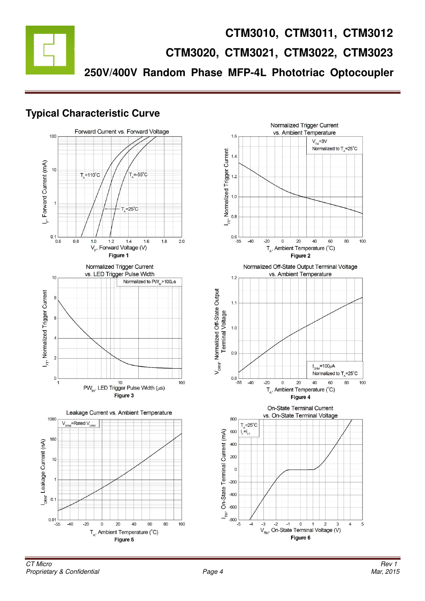

### **Typical Characteristic Curve**



60

60

 $80$ 

 $\overline{4}$ 

5

3

 $\overline{100}$ 

 $80$ 

 $100$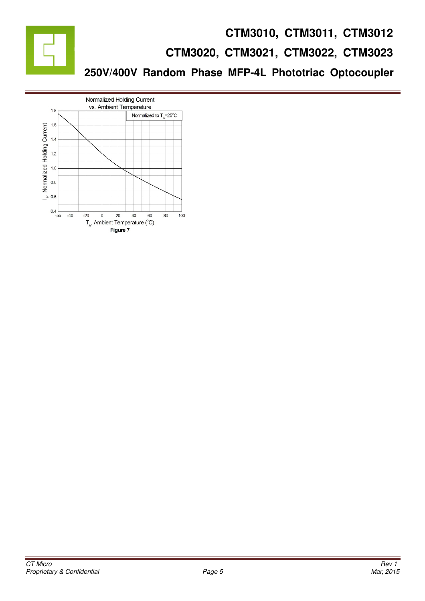

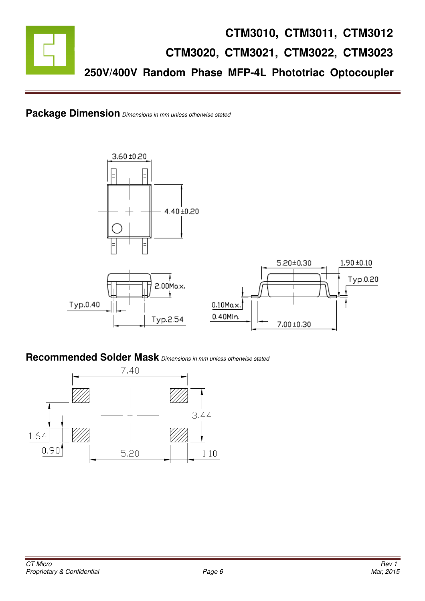

#### **Package Dimension** Dimensions in mm unless otherwise stated



#### **Recommended Solder Mask** Dimensions in mm unless otherwise stated

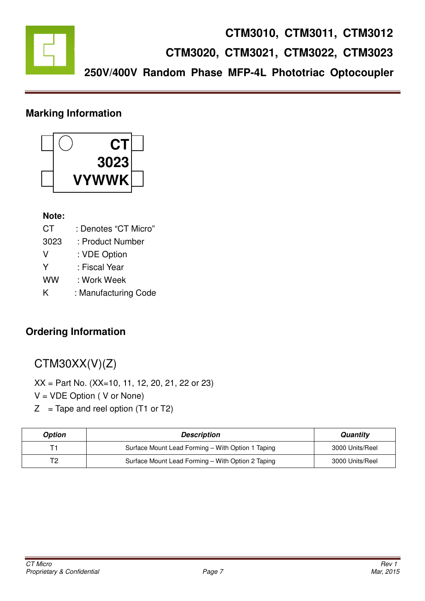

### **Marking Information**



#### **Note:**

- CT : Denotes "CT Micro"
- 3023 : Product Number
- V : VDE Option
- Y : Fiscal Year
- WW : Work Week
- K : Manufacturing Code

## **Ordering Information**

## CTM30XX(V)(Z)

XX = Part No. (XX=10, 11, 12, 20, 21, 22 or 23)

- V = VDE Option ( V or None)
- $Z =$  Tape and reel option (T1 or T2)

| <b>Option</b> | <b>Description</b>                                | Quantity        |
|---------------|---------------------------------------------------|-----------------|
|               | Surface Mount Lead Forming - With Option 1 Taping | 3000 Units/Reel |
| ᠇             | Surface Mount Lead Forming - With Option 2 Taping | 3000 Units/Reel |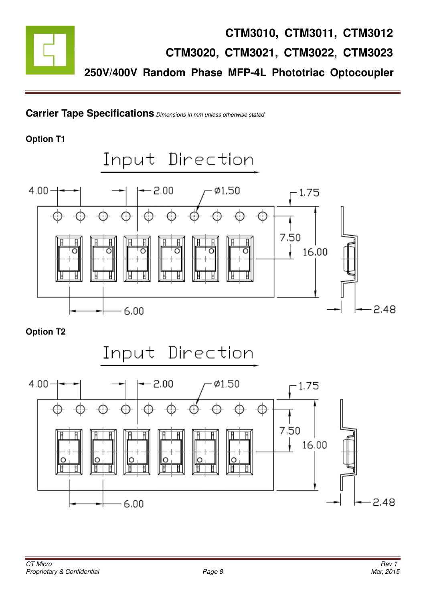

**Carrier Tape Specifications** Dimensions in mm unless otherwise stated

**Option T1**



**Option T2** 

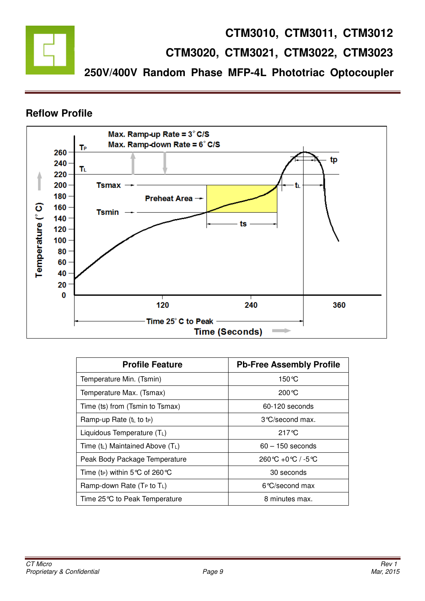

#### **Reflow Profile**



| <b>Profile Feature</b>                       | <b>Pb-Free Assembly Profile</b>              |  |  |  |
|----------------------------------------------|----------------------------------------------|--|--|--|
| Temperature Min. (Tsmin)                     | 150 °C                                       |  |  |  |
| Temperature Max. (Tsmax)                     | 200 °C                                       |  |  |  |
| Time (ts) from (Tsmin to Tsmax)              | 60-120 seconds                               |  |  |  |
| Ramp-up Rate $(tL$ to $tP)$                  | 3 °C/second max.                             |  |  |  |
| Liquidous Temperature $(T_L)$                | $217^\circ$ C                                |  |  |  |
| Time $(t_L)$ Maintained Above $(T_L)$        | $60 - 150$ seconds                           |  |  |  |
| Peak Body Package Temperature                | $260^{\circ}C + 0^{\circ}C$ / -5 $^{\circ}C$ |  |  |  |
| Time (t <sub>P</sub> ) within 5 °C of 260 °C | 30 seconds                                   |  |  |  |
| Ramp-down Rate ( $Tr$ to $Tr$ )              | 6 °C/second max                              |  |  |  |
| Time 25 ℃ to Peak Temperature                | 8 minutes max.                               |  |  |  |